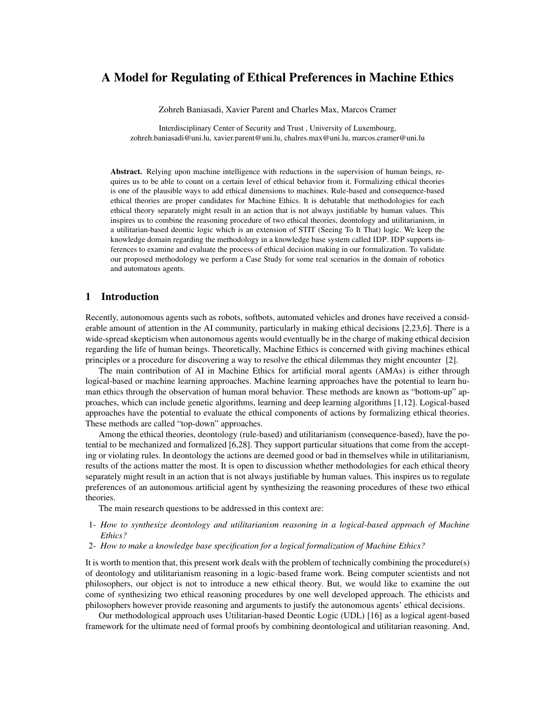# A Model for Regulating of Ethical Preferences in Machine Ethics

Zohreh Baniasadi, Xavier Parent and Charles Max, Marcos Cramer

Interdisciplinary Center of Security and Trust , University of Luxembourg, zohreh.baniasadi@uni.lu, xavier.parent@uni.lu, chalres.max@uni.lu, marcos.cramer@uni.lu

Abstract. Relying upon machine intelligence with reductions in the supervision of human beings, requires us to be able to count on a certain level of ethical behavior from it. Formalizing ethical theories is one of the plausible ways to add ethical dimensions to machines. Rule-based and consequence-based ethical theories are proper candidates for Machine Ethics. It is debatable that methodologies for each ethical theory separately might result in an action that is not always justifiable by human values. This inspires us to combine the reasoning procedure of two ethical theories, deontology and utilitarianism, in a utilitarian-based deontic logic which is an extension of STIT (Seeing To It That) logic. We keep the knowledge domain regarding the methodology in a knowledge base system called IDP. IDP supports inferences to examine and evaluate the process of ethical decision making in our formalization. To validate our proposed methodology we perform a Case Study for some real scenarios in the domain of robotics and automatous agents.

## 1 Introduction

Recently, autonomous agents such as robots, softbots, automated vehicles and drones have received a considerable amount of attention in the AI community, particularly in making ethical decisions [2,23,6]. There is a wide-spread skepticism when autonomous agents would eventually be in the charge of making ethical decision regarding the life of human beings. Theoretically, Machine Ethics is concerned with giving machines ethical principles or a procedure for discovering a way to resolve the ethical dilemmas they might encounter [2].

The main contribution of AI in Machine Ethics for artificial moral agents (AMAs) is either through logical-based or machine learning approaches. Machine learning approaches have the potential to learn human ethics through the observation of human moral behavior. These methods are known as "bottom-up" approaches, which can include genetic algorithms, learning and deep learning algorithms [1,12]. Logical-based approaches have the potential to evaluate the ethical components of actions by formalizing ethical theories. These methods are called "top-down" approaches.

Among the ethical theories, deontology (rule-based) and utilitarianism (consequence-based), have the potential to be mechanized and formalized [6,28]. They support particular situations that come from the accepting or violating rules. In deontology the actions are deemed good or bad in themselves while in utilitarianism, results of the actions matter the most. It is open to discussion whether methodologies for each ethical theory separately might result in an action that is not always justifiable by human values. This inspires us to regulate preferences of an autonomous artificial agent by synthesizing the reasoning procedures of these two ethical theories.

The main research questions to be addressed in this context are:

- 1- *How to synthesize deontology and utilitarianism reasoning in a logical-based approach of Machine Ethics?*
- 2- *How to make a knowledge base specification for a logical formalization of Machine Ethics?*

It is worth to mention that, this present work deals with the problem of technically combining the procedure(s) of deontology and utilitarianism reasoning in a logic-based frame work. Being computer scientists and not philosophers, our object is not to introduce a new ethical theory. But, we would like to examine the out come of synthesizing two ethical reasoning procedures by one well developed approach. The ethicists and philosophers however provide reasoning and arguments to justify the autonomous agents' ethical decisions.

Our methodological approach uses Utilitarian-based Deontic Logic (UDL) [16] as a logical agent-based framework for the ultimate need of formal proofs by combining deontological and utilitarian reasoning. And,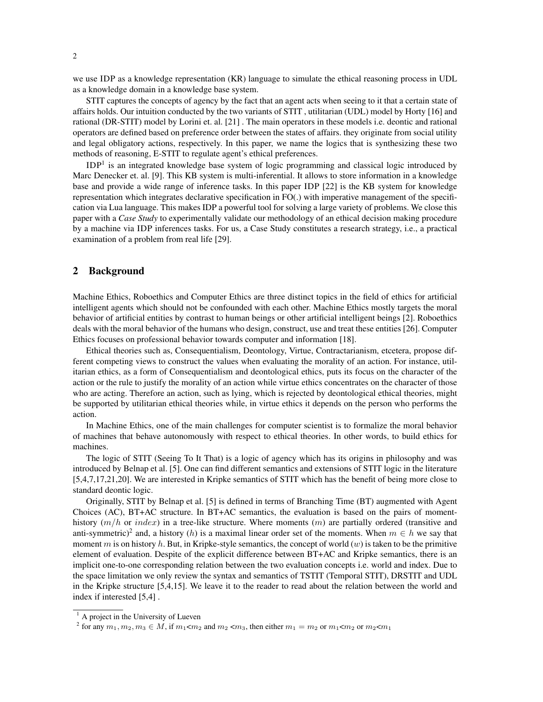we use IDP as a knowledge representation (KR) language to simulate the ethical reasoning process in UDL as a knowledge domain in a knowledge base system.

STIT captures the concepts of agency by the fact that an agent acts when seeing to it that a certain state of affairs holds. Our intuition conducted by the two variants of STIT , utilitarian (UDL) model by Horty [16] and rational (DR-STIT) model by Lorini et. al. [21] . The main operators in these models i.e. deontic and rational operators are defined based on preference order between the states of affairs. they originate from social utility and legal obligatory actions, respectively. In this paper, we name the logics that is synthesizing these two methods of reasoning, E-STIT to regulate agent's ethical preferences.

IDP<sup>1</sup> is an integrated knowledge base system of logic programming and classical logic introduced by Marc Denecker et. al. [9]. This KB system is multi-inferential. It allows to store information in a knowledge base and provide a wide range of inference tasks. In this paper IDP [22] is the KB system for knowledge representation which integrates declarative specification in FO(.) with imperative management of the specification via Lua language. This makes IDP a powerful tool for solving a large variety of problems. We close this paper with a *Case Study* to experimentally validate our methodology of an ethical decision making procedure by a machine via IDP inferences tasks. For us, a Case Study constitutes a research strategy, i.e., a practical examination of a problem from real life [29].

## 2 Background

Machine Ethics, Roboethics and Computer Ethics are three distinct topics in the field of ethics for artificial intelligent agents which should not be confounded with each other. Machine Ethics mostly targets the moral behavior of artificial entities by contrast to human beings or other artificial intelligent beings [2]. Roboethics deals with the moral behavior of the humans who design, construct, use and treat these entities [26]. Computer Ethics focuses on professional behavior towards computer and information [18].

Ethical theories such as, Consequentialism, Deontology, Virtue, Contractarianism, etcetera, propose different competing views to construct the values when evaluating the morality of an action. For instance, utilitarian ethics, as a form of Consequentialism and deontological ethics, puts its focus on the character of the action or the rule to justify the morality of an action while virtue ethics concentrates on the character of those who are acting. Therefore an action, such as lying, which is rejected by deontological ethical theories, might be supported by utilitarian ethical theories while, in virtue ethics it depends on the person who performs the action.

In Machine Ethics, one of the main challenges for computer scientist is to formalize the moral behavior of machines that behave autonomously with respect to ethical theories. In other words, to build ethics for machines.

The logic of STIT (Seeing To It That) is a logic of agency which has its origins in philosophy and was introduced by Belnap et al. [5]. One can find different semantics and extensions of STIT logic in the literature [5,4,7,17,21,20]. We are interested in Kripke semantics of STIT which has the benefit of being more close to standard deontic logic.

Originally, STIT by Belnap et al. [5] is defined in terms of Branching Time (BT) augmented with Agent Choices (AC), BT+AC structure. In BT+AC semantics, the evaluation is based on the pairs of momenthistory  $(m/h \text{ or } index)$  in a tree-like structure. Where moments  $(m)$  are partially ordered (transitive and anti-symmetric)<sup>2</sup> and, a history (h) is a maximal linear order set of the moments. When  $m \in h$  we say that moment m is on history h. But, in Kripke-style semantics, the concept of world  $(w)$  is taken to be the primitive element of evaluation. Despite of the explicit difference between BT+AC and Kripke semantics, there is an implicit one-to-one corresponding relation between the two evaluation concepts i.e. world and index. Due to the space limitation we only review the syntax and semantics of TSTIT (Temporal STIT), DRSTIT and UDL in the Kripke structure [5,4,15]. We leave it to the reader to read about the relation between the world and index if interested [5,4] .

<sup>&</sup>lt;sup>1</sup> A project in the University of Lueven

<sup>&</sup>lt;sup>2</sup> for any  $m_1, m_2, m_3 \in M$ , if  $m_1 \textless m_2$  and  $m_2 \textless m_3$ , then either  $m_1 = m_2$  or  $m_1 \textless m_2$  or  $m_2 \textless m_1$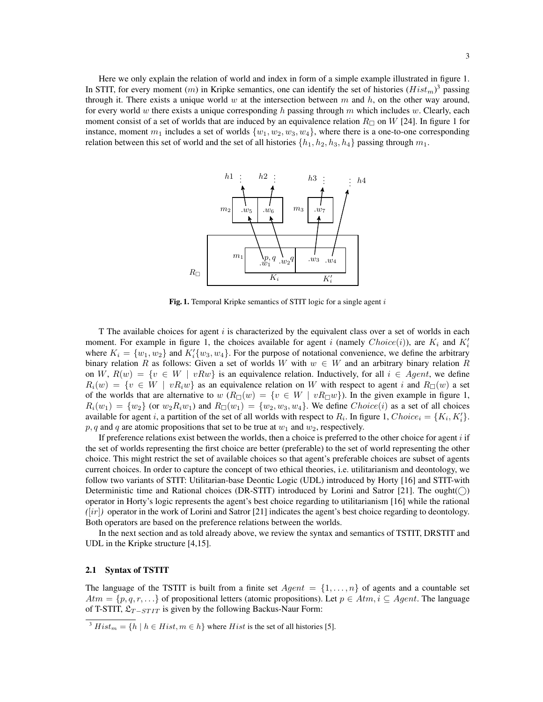Here we only explain the relation of world and index in form of a simple example illustrated in figure 1. In STIT, for every moment  $(m)$  in Kripke semantics, one can identify the set of histories  $(Hist_m)^3$  passing through it. There exists a unique world w at the intersection between m and h, on the other way around, for every world w there exists a unique corresponding h passing through  $m$  which includes  $w$ . Clearly, each moment consist of a set of worlds that are induced by an equivalence relation  $R_{\Box}$  on W [24]. In figure 1 for instance, moment  $m_1$  includes a set of worlds  $\{w_1, w_2, w_3, w_4\}$ , where there is a one-to-one corresponding relation between this set of world and the set of all histories  $\{h_1, h_2, h_3, h_4\}$  passing through  $m_1$ .

 $\int_{w_1}^{p} q$  $p, q \}$ <sub> $w_2$ </sub> $q$  $.w_3$   $.w_4$  $m_2$   $\mid$   $\cdot w_5$   $\mid$   $\cdot w_6$   $\mid$   $\mid$   $m_3$   $\mid$   $\cdot w_7$ . . .  $h<sub>1</sub>$ . . .  $h2$ . .  $h3$ . . h4  $R_{\Box}$  $m<sub>1</sub>$  $K_i$   $K_i'$ 

Fig. 1. Temporal Kripke semantics of STIT logic for a single agent  $i$ 

T The available choices for agent  $i$  is characterized by the equivalent class over a set of worlds in each moment. For example in figure 1, the choices available for agent i (namely  $Choice(i)$ ), are  $K_i$  and  $K_i'$ where  $K_i = \{w_1, w_2\}$  and  $K_i^{\prime}\{w_3, w_4\}$ . For the purpose of notational convenience, we define the arbitrary binary relation R as follows: Given a set of worlds W with  $w \in W$  and an arbitrary binary relation R on  $W, R(w) = \{v \in W \mid vRw\}$  is an equivalence relation. Inductively, for all  $i \in Agent$ , we define  $R_i(w) = \{v \in W \mid vR_iw\}$  as an equivalence relation on W with respect to agent i and  $R_{\Box}(w)$  a set of the worlds that are alternative to w  $(R_{\square}(w) = \{v \in W \mid vR_{\square}w\})$ . In the given example in figure 1,  $R_i(w_1) = \{w_2\}$  (or  $w_2R_iw_1$ ) and  $R_{\Box}(w_1) = \{w_2, w_3, w_4\}$ . We define Choice(i) as a set of all choices available for agent i, a partition of the set of all worlds with respect to  $R_i$ . In figure 1,  $Choice_i = \{K_i, K'_i\}$ .  $p, q$  and q are atomic propositions that set to be true at  $w_1$  and  $w_2$ , respectively.

If preference relations exist between the worlds, then a choice is preferred to the other choice for agent  $i$  if the set of worlds representing the first choice are better (preferable) to the set of world representing the other choice. This might restrict the set of available choices so that agent's preferable choices are subset of agents current choices. In order to capture the concept of two ethical theories, i.e. utilitarianism and deontology, we follow two variants of STIT: Utilitarian-base Deontic Logic (UDL) introduced by Horty [16] and STIT-with Deterministic time and Rational choices (DR-STIT) introduced by Lorini and Satror [21]. The ought( $\cap$ ) operator in Horty's logic represents the agent's best choice regarding to utilitarianism [16] while the rational *(*[ir]*)* operator in the work of Lorini and Satror [21] indicates the agent's best choice regarding to deontology. Both operators are based on the preference relations between the worlds.

In the next section and as told already above, we review the syntax and semantics of TSTIT, DRSTIT and UDL in the Kripke structure [4,15].

#### 2.1 Syntax of TSTIT

The language of the TSTIT is built from a finite set  $Agent = \{1, \ldots, n\}$  of agents and a countable set  $Atm = \{p, q, r, \ldots\}$  of propositional letters (atomic propositions). Let  $p \in Atm, i \subseteq Agent$ . The language of T-STIT,  $\mathfrak{L}_{T-STIT}$  is given by the following Backus-Naur Form:

 $\overline{3}$  Hist<sub>m</sub> = {h | h ∈ Hist, m ∈ h} where Hist is the set of all histories [5].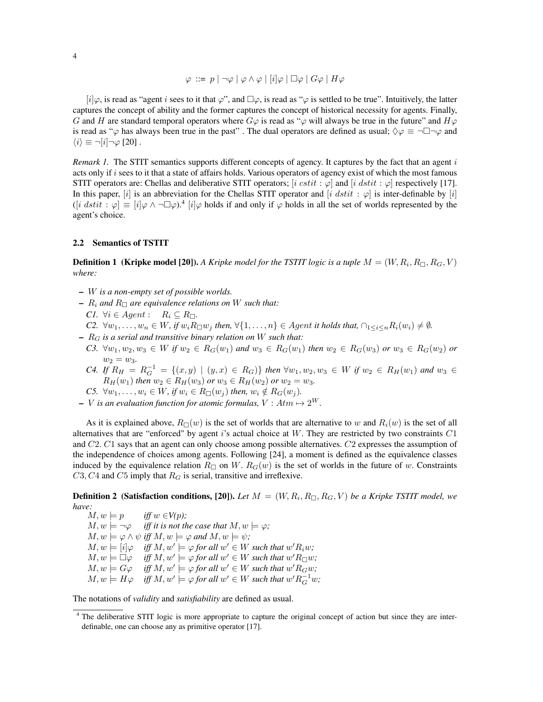$$
\varphi \ ::= \ p \mid \neg \varphi \mid \varphi \land \varphi \mid [i] \varphi \mid \Box \varphi \mid G \varphi \mid H \varphi
$$

 $[i] \varphi$ , is read as "agent i sees to it that  $\varphi$ ", and  $\Box \varphi$ , is read as " $\varphi$  is settled to be true". Intuitively, the latter captures the concept of ability and the former captures the concept of historical necessity for agents. Finally, G and H are standard temporal operators where  $G\varphi$  is read as " $\varphi$  will always be true in the future" and  $H\varphi$ is read as " $\varphi$  has always been true in the past". The dual operators are defined as usual;  $\Diamond \varphi \equiv \neg \Box \neg \varphi$  and  $\langle i \rangle \equiv \neg[i] \neg \varphi$  [20].

*Remark 1.* The STIT semantics supports different concepts of agency. It captures by the fact that an agent i acts only if i sees to it that a state of affairs holds. Various operators of agency exist of which the most famous STIT operators are: Chellas and deliberative STIT operators;  $[i \; cstit : \varphi]$  and  $[i \; dstit : \varphi]$  respectively [17]. In this paper, [i] is an abbreviation for the Chellas STIT operator and  $[i \, dist i : \varphi]$  is inter-definable by [i]  $([i] \text{ dist } i : \varphi] \equiv [i] \varphi \wedge \neg \Box \varphi$ .<sup>4</sup>  $[i] \varphi$  holds if and only if  $\varphi$  holds in all the set of worlds represented by the agent's choice.

#### 2.2 Semantics of TSTIT

**Definition 1** (**Kripke model [20]).** A Kripke model for the TSTIT logic is a tuple  $M = (W, R_i, R_\Box, R_G, V)$ *where:*

- W *is a non-empty set of possible worlds.*
- $R_i$  *and*  $R_{\Box}$  *are equivalence relations on* W *such that:* 
	- *C1.*  $\forall i \in Agent : R_i \subseteq R_{\Box}.$
- *C2.*  $\forall w_1, \ldots, w_n \in W$ , if  $w_i R_{\Box} w_j$  then,  $\forall \{1, \ldots, n\} \in Agent$  *it holds that,*  $\cap_{1 \leq i \leq n} R_i(w_i) \neq \emptyset$ .
- R<sup>G</sup> *is a serial and transitive binary relation on* W *such that:*
	- *C3.*  $\forall w_1, w_2, w_3 \in W$  *if*  $w_2 \in R_G(w_1)$  *and*  $w_3 \in R_G(w_1)$  *then*  $w_2 \in R_G(w_3)$  *or*  $w_3 \in R_G(w_2)$  *or*  $w_2 = w_3$ .
	- *C4.* If  $R_H = R_G^{-1} = \{(x, y) | (y, x) \in R_G\}$  *then* ∀w<sub>1</sub>, w<sub>2</sub>, w<sub>3</sub> ∈ W *if* w<sub>2</sub> ∈  $R_H(w_1)$  *and* w<sub>3</sub> ∈  $R_H(w_1)$  *then*  $w_2 \in R_H(w_3)$  *or*  $w_3 \in R_H(w_2)$  *or*  $w_2 = w_3$ *.*
	- *C5.*  $\forall w_1, \ldots, w_i \in W$ , if  $w_i \in R_{\square}(w_j)$  *then,*  $w_i \notin R_G(w_j)$ *.*
- $-$  *V is an evaluation function for atomic formulas, V* :  $Atm → 2<sup>W</sup>$ *.*

As it is explained above,  $R_{\Box}(w)$  is the set of worlds that are alternative to w and  $R_i(w)$  is the set of all alternatives that are "enforced" by agent  $i$ 's actual choice at  $W$ . They are restricted by two constraints  $C1$ and C2. C1 says that an agent can only choose among possible alternatives. C2 expresses the assumption of the independence of choices among agents. Following [24], a moment is defined as the equivalence classes induced by the equivalence relation  $R_{\Box}$  on W.  $R_G(w)$  is the set of worlds in the future of w. Constraints  $C3, C4$  and  $C5$  imply that  $R_G$  is serial, transitive and irreflexive.

**Definition 2 (Satisfaction conditions, [20]).** Let  $M = (W, R_i, R_\Box, R_G, V)$  be a Kripke TSTIT model, we *have:*<br> $M, w \models p$ 

 $iff w \in V(p);$  $M, w \models \neg \varphi$  *iff it is not the case that*  $M, w \models \varphi$ *;*  $M, w \models \varphi \land \psi$  *iff*  $M, w \models \varphi$  *and*  $M, w \models \psi$ *;*  $M, w \models [i]\varphi \quad \textit{iff } M, w' \models \varphi \textit{for all } w' \in W \textit{ such that } w'R_iw;$  $M, w \models \Box \varphi$  *iff*  $M, w' \models \varphi$  for all  $w' \in W$  such that  $w'R \Box w$ ;  $M, w \models G\varphi$  *iff*  $M, w' \models \varphi$  for all  $w' \in W$  such that  $w'R_Gw$ ;  $M, w \models H\varphi \quad \textit{iff } M, w' \models \varphi \textit{for all } w' \in W \textit{ such that } w' R_G^{-1}w;$ 

The notations of *validity* and *satisfiability* are defined as usual.

<sup>&</sup>lt;sup>4</sup> The deliberative STIT logic is more appropriate to capture the original concept of action but since they are interdefinable, one can choose any as primitive operator [17].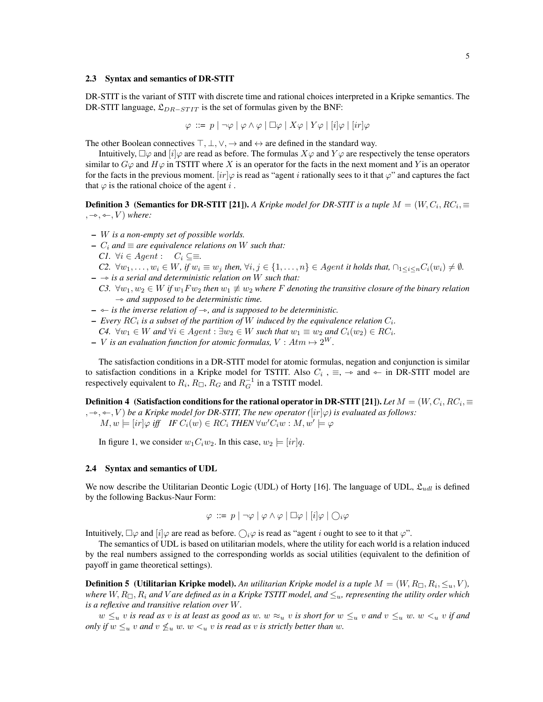#### 2.3 Syntax and semantics of DR-STIT

DR-STIT is the variant of STIT with discrete time and rational choices interpreted in a Kripke semantics. The DR-STIT language,  $\mathfrak{L}_{DR-STIT}$  is the set of formulas given by the BNF:

 $\varphi \ ::= p \mid \neg \varphi \mid \varphi \land \varphi \mid \Box \varphi \mid X \varphi \mid Y \varphi \mid [i] \varphi \mid [ir] \varphi$ 

The other Boolean connectives  $\top, \bot, \vee, \rightarrow$  and  $\leftrightarrow$  are defined in the standard way.

Intuitively,  $\Box \varphi$  and  $[i] \varphi$  are read as before. The formulas  $X\varphi$  and  $Y\varphi$  are respectively the tense operators similar to  $G\varphi$  and  $H\varphi$  in TSTIT where X is an operator for the facts in the next moment and Y is an operator for the facts in the previous moment. [ $ir|\varphi$  is read as "agent i rationally sees to it that  $\varphi$ " and captures the fact that  $\varphi$  is the rational choice of the agent i.

**Definition 3** (Semantics for DR-STIT [21]). A Kripke model for DR-STIT is a tuple  $M = (W, C_i, RC_i)$  $, \rightarrow, \leftarrow, V$  *where:* 

- W *is a non-empty set of possible worlds.*
- $− C_i$  *and*  $\equiv$  *are equivalence relations on W such that:* 
	- *C1.*  $\forall i \in Agent : C_i \subseteq \equiv$ .
- *C2.*  $\forall w_1, \ldots, w_i \in W$ , if  $w_i \equiv w_j$  then,  $\forall i, j \in \{1, \ldots, n\}$  ∈ Agent it holds that,  $\cap_{1 \leq i \leq n} C_i(w_i) \neq \emptyset$ .  $- \rightarrow$  *is a serial and deterministic relation on W such that:*
- *C3.*  $\forall w_1, w_2 \in W$  *if*  $w_1 F w_2$  *then*  $w_1 \neq w_2$  *where* F *denoting the transitive closure of the binary relation*  $\rightarrow$  *and supposed to be deterministic time.*
- $\leftarrow$  *is the inverse relation of*  $\rightarrow$ *, and is supposed to be deterministic.*
- $-$  Every  $RC_i$  is a subset of the partition of W induced by the equivalence relation  $C_i$ . *C4.*  $\forall w_1 \in W$  *and*  $\forall i \in Agent : \exists w_2 \in W$  *such that*  $w_1 \equiv w_2$  *and*  $C_i(w_2) \in RC_i$ *.*
- $-$  *V is an evaluation function for atomic formulas, V* :  $Atm → 2<sup>W</sup>$ *.*

The satisfaction conditions in a DR-STIT model for atomic formulas, negation and conjunction is similar to satisfaction conditions in a Kripke model for TSTIT. Also  $C_i$ ,  $\equiv$ ,  $\rightarrow$  and  $\leftarrow$  in DR-STIT model are respectively equivalent to  $R_i$ ,  $R_{\Box}$ ,  $R_G$  and  $R_G^{-1}$  in a TSTIT model.

Definition 4  $\,$  (Satisfaction conditions for the rational operator in DR-STIT [21]).  $Let\, M=(W,C_i,RC_i,\equiv 0)$  $, \rightarrow, \leftarrow, V$  *be a Kripke model for DR-STIT, The new operator (* $[ir] \varphi$ *) is evaluated as follows:*  $M, w \models [ir] \varphi \text{ iff } \text{ If } C_i(w) \in RC_i \text{ THEN } \forall w' C_i w : M, w' \models \varphi$ 

In figure 1, we consider  $w_1C_iw_2$ . In this case,  $w_2 \models |ir|q$ .

#### 2.4 Syntax and semantics of UDL

We now describe the Utilitarian Deontic Logic (UDL) of Horty [16]. The language of UDL,  $\mathcal{L}_{udl}$  is defined by the following Backus-Naur Form:

$$
\varphi \ ::= \ p \mid \neg \varphi \mid \varphi \land \varphi \mid \Box \varphi \mid [i] \varphi \mid \bigcirc_i \varphi
$$

Intuitively,  $\Box \varphi$  and  $[i] \varphi$  are read as before.  $\bigcirc_i \varphi$  is read as "agent i ought to see to it that  $\varphi$ ".

The semantics of UDL is based on utilitarian models, where the utility for each world is a relation induced by the real numbers assigned to the corresponding worlds as social utilities (equivalent to the definition of payoff in game theoretical settings).

**Definition 5** (Utilitarian Kripke model). An utilitarian Kripke model is a tuple  $M = (W, R_{\Box}, R_i, \leq_u, V)$ , *where*  $W, R_{\Box}, R_i$  *and*  $V$  *are defined as in a Kripke TSTIT model, and*  $\leq_u$ *, representing the utility order which is a reflexive and transitive relation over* W*.*

 $w \leq_u v$  *is read as* v *is at least as good as w.*  $w \approx_u v$  *is short for*  $w \leq_u v$  *and*  $v \leq_u w$ *.*  $w \lt_u v$  *if and only if*  $w \leq u$  v and  $v \nleq u$  w.  $w < u$  v *is read as v is strictly better than* w.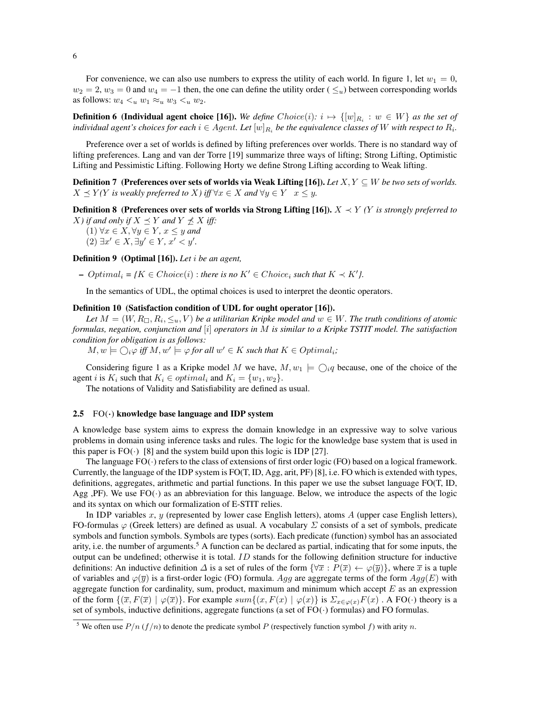For convenience, we can also use numbers to express the utility of each world. In figure 1, let  $w_1 = 0$ ,  $w_2 = 2$ ,  $w_3 = 0$  and  $w_4 = -1$  then, the one can define the utility order ( $\leq_u$ ) between corresponding worlds as follows:  $w_4 < u_1 \approx_u w_3 <_u w_2$ .

**Definition 6 (Individual agent choice [16]).** We define  $Choice(i): i \mapsto \{[w]_{R_i}: w \in W\}$  as the set of individual agent's choices for each  $i \in Agent$ . Let  $[w]_{R_i}$  be the equivalence classes of  $W$  with respect to  $R_i$ .

Preference over a set of worlds is defined by lifting preferences over worlds. There is no standard way of lifting preferences. Lang and van der Torre [19] summarize three ways of lifting; Strong Lifting, Optimistic Lifting and Pessimistic Lifting. Following Horty we define Strong Lifting according to Weak lifting.

Definition 7 (Preferences over sets of worlds via Weak Lifting [16]). *Let* X, Y ⊆ W *be two sets of worlds.*  $X \preceq Y$  *(Y is weakly preferred to X) iff*  $\forall x \in X$  *and*  $\forall y \in Y$   $x \leq y$ *.* 

Definition 8 (Preferences over sets of worlds via Strong Lifting [16]). X ≺ Y *(*Y *is strongly preferred to X)* if and only if  $X \preceq Y$  *and*  $Y \npreceq X$  *iff:* 

 $(1) \forall x \in X, \forall y \in Y, x \leq y$  and  $(2) \exists x' \in X, \exists y' \in Y, x' < y'.$ 

Definition 9 (Optimal [16]). *Let* i *be an agent,*

*→ Optimal<sub>i</sub>* = { $K ∈ Choice(i)$  : *there is no*  $K' ∈ Choice_i$  *such that*  $K ∼ K'$ }.

In the semantics of UDL, the optimal choices is used to interpret the deontic operators.

#### Definition 10 (Satisfaction condition of UDL for ought operator [16]).

Let  $M = (W, R_{\Box}, R_i, \leq_u, V)$  be a utilitarian Kripke model and  $w \in W$ . The truth conditions of atomic *formulas, negation, conjunction and* [i] *operators in* M *is similar to a Kripke TSTIT model. The satisfaction condition for obligation is as follows:*

 $M, w \models \bigcirc_i \varphi$  iff  $M, w' \models \varphi$  for all  $w' \in K$  such that  $K \in Optimal_i$ ;

Considering figure 1 as a Kripke model M we have,  $M, w_1 \models \bigcirc_{i} q$  because, one of the choice of the agent *i* is  $K_i$  such that  $K_i \in optimal_i$  and  $K_i = \{w_1, w_2\}.$ 

The notations of Validity and Satisfiability are defined as usual.

### 2.5  $FO(·)$  knowledge base language and IDP system

A knowledge base system aims to express the domain knowledge in an expressive way to solve various problems in domain using inference tasks and rules. The logic for the knowledge base system that is used in this paper is  $FO(\cdot)$  [8] and the system build upon this logic is IDP [27].

The language  $FO(\cdot)$  refers to the class of extensions of first order logic (FO) based on a logical framework. Currently, the language of the IDP system is FO(T, ID, Agg, arit, PF) [8], i.e. FO which is extended with types, definitions, aggregates, arithmetic and partial functions. In this paper we use the subset language FO(T, ID, Agg , PF). We use  $FO(\cdot)$  as an abbreviation for this language. Below, we introduce the aspects of the logic and its syntax on which our formalization of E-STIT relies.

In IDP variables  $x, y$  (represented by lower case English letters), atoms  $A$  (upper case English letters), FO-formulas  $\varphi$  (Greek letters) are defined as usual. A vocabulary  $\Sigma$  consists of a set of symbols, predicate symbols and function symbols. Symbols are types (sorts). Each predicate (function) symbol has an associated arity, i.e. the number of arguments.<sup>5</sup> A function can be declared as partial, indicating that for some inputs, the output can be undefined; otherwise it is total. ID stands for the following definition structure for inductive definitions: An inductive definition  $\Delta$  is a set of rules of the form  $\{\forall \bar{x} : P(\bar{x}) \leftarrow \varphi(\bar{y})\}$ , where  $\bar{x}$  is a tuple of variables and  $\varphi(\overline{y})$  is a first-order logic (FO) formula. Agg are aggregate terms of the form  $Agg(E)$  with aggregate function for cardinality, sum, product, maximum and minimum which accept  $E$  as an expression of the form  $\{(\overline{x}, F(\overline{x}) \mid \varphi(\overline{x})\})$ . For example sum $\{(x, F(x) \mid \varphi(x)\})$  is  $\Sigma_{x \in \varphi(x)} F(x)$ . A FO(·) theory is a set of symbols, inductive definitions, aggregate functions (a set of  $FO(\cdot)$  formulas) and FO formulas.

<sup>&</sup>lt;sup>5</sup> We often use  $P/n$  ( $f/n$ ) to denote the predicate symbol P (respectively function symbol f) with arity n.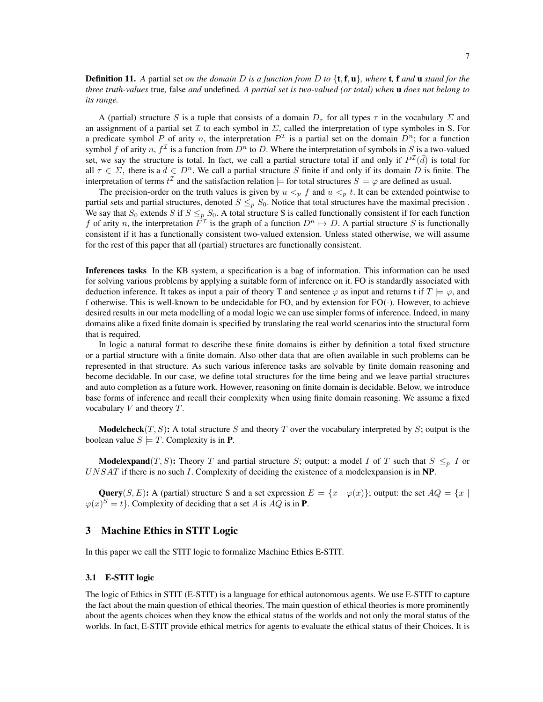Definition 11. *A* partial set *on the domain* D *is a function from* D *to* {t, f, u}*, where* t*,* f *and* u *stand for the three truth-values* true*,* false *and* undefined*. A partial set is two-valued (or total) when* u *does not belong to its range.*

A (partial) structure S is a tuple that consists of a domain  $D_{\tau}$  for all types  $\tau$  in the vocabulary  $\Sigma$  and an assignment of a partial set T to each symbol in  $\Sigma$ , called the interpretation of type symboles in S. For a predicate symbol P of arity n, the interpretation  $P<sup>\mathcal{I}</sup>$  is a partial set on the domain  $D<sup>n</sup>$ ; for a function symbol f of arity n,  $f^{\mathcal{I}}$  is a function from  $D^n$  to D. Where the interpretation of symbols in S is a two-valued set, we say the structure is total. In fact, we call a partial structure total if and only if  $P^{\mathcal{I}}(\bar{d})$  is total for all  $\tau \in \Sigma$ , there is a  $\bar{d} \in D^n$ . We call a partial structure S finite if and only if its domain D is finite. The interpretation of terms  $t^{\mathcal{I}}$  and the satisfaction relation  $\models$  for total structures  $S \models \varphi$  are defined as usual.

The precision-order on the truth values is given by  $u <sub>p</sub> f$  and  $u <sub>p</sub> t$ . It can be extended pointwise to partial sets and partial structures, denoted  $S \leq_p S_0$ . Notice that total structures have the maximal precision. We say that  $S_0$  extends S if  $S \leq_p S_0$ . A total structure S is called functionally consistent if for each function f of arity n, the interpretation  $\bar{F}^{\mathcal{I}}$  is the graph of a function  $D^n \mapsto D$ . A partial structure S is functionally consistent if it has a functionally consistent two-valued extension. Unless stated otherwise, we will assume for the rest of this paper that all (partial) structures are functionally consistent.

Inferences tasks In the KB system, a specification is a bag of information. This information can be used for solving various problems by applying a suitable form of inference on it. FO is standardly associated with deduction inference. It takes as input a pair of theory T and sentence  $\varphi$  as input and returns t if  $T \models \varphi$ , and f otherwise. This is well-known to be undecidable for FO, and by extension for FO(·). However, to achieve desired results in our meta modelling of a modal logic we can use simpler forms of inference. Indeed, in many domains alike a fixed finite domain is specified by translating the real world scenarios into the structural form that is required.

In logic a natural format to describe these finite domains is either by definition a total fixed structure or a partial structure with a finite domain. Also other data that are often available in such problems can be represented in that structure. As such various inference tasks are solvable by finite domain reasoning and become decidable. In our case, we define total structures for the time being and we leave partial structures and auto completion as a future work. However, reasoning on finite domain is decidable. Below, we introduce base forms of inference and recall their complexity when using finite domain reasoning. We assume a fixed vocabulary  $V$  and theory  $T$ .

**Modelcheck** $(T, S)$ : A total structure S and theory T over the vocabulary interpreted by S; output is the boolean value  $S \models T$ . Complexity is in **P**.

**Modelexpand**(T, S): Theory T and partial structure S; output: a model I of T such that  $S \leq p I$  or  $UNSAT$  if there is no such I. Complexity of deciding the existence of a modelexpansion is in NP.

**Query**(S, E): A (partial) structure S and a set expression  $E = \{x \mid \varphi(x)\}\;$  output: the set  $AQ = \{x \mid x\}$  $\varphi(x)^S = t$ . Complexity of deciding that a set A is AQ is in **P**.

### 3 Machine Ethics in STIT Logic

In this paper we call the STIT logic to formalize Machine Ethics E-STIT.

#### 3.1 E-STIT logic

The logic of Ethics in STIT (E-STIT) is a language for ethical autonomous agents. We use E-STIT to capture the fact about the main question of ethical theories. The main question of ethical theories is more prominently about the agents choices when they know the ethical status of the worlds and not only the moral status of the worlds. In fact, E-STIT provide ethical metrics for agents to evaluate the ethical status of their Choices. It is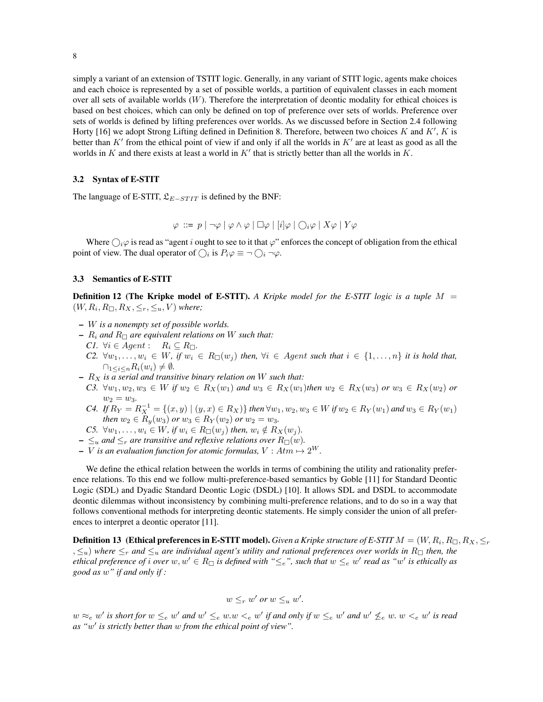simply a variant of an extension of TSTIT logic. Generally, in any variant of STIT logic, agents make choices and each choice is represented by a set of possible worlds, a partition of equivalent classes in each moment over all sets of available worlds  $(W)$ . Therefore the interpretation of deontic modality for ethical choices is based on best choices, which can only be defined on top of preference over sets of worlds. Preference over sets of worlds is defined by lifting preferences over worlds. As we discussed before in Section 2.4 following Horty [16] we adopt Strong Lifting defined in Definition 8. Therefore, between two choices  $K$  and  $K'$ ,  $K$  is better than  $K'$  from the ethical point of view if and only if all the worlds in  $K'$  are at least as good as all the worlds in K and there exists at least a world in  $K'$  that is strictly better than all the worlds in K.

#### 3.2 Syntax of E-STIT

The language of E-STIT,  $\mathcal{L}_{E-STIT}$  is defined by the BNF:

 $\varphi ::= p | \neg \varphi | \varphi \wedge \varphi | \Box \varphi | [i] \varphi | \bigcap_i \varphi | X \varphi | Y \varphi$ 

Where  $\bigcirc_i \varphi$  is read as "agent i ought to see to it that  $\varphi$ " enforces the concept of obligation from the ethical point of view. The dual operator of  $\bigcirc_i$  is  $P_i\varphi \equiv \neg \bigcirc_i \neg \varphi$ .

#### 3.3 Semantics of E-STIT

**Definition 12 (The Kripke model of E-STIT).** *A Kripke model for the E-STIT logic is a tuple*  $M =$  $(W, R_i, R_{\square}, R_X, \leq_r, \leq_u, V)$  where;

- W *is a nonempty set of possible worlds.*
- $R_i$  *and*  $R_{\Box}$  *are equivalent relations on* W *such that:*
- *C1.*  $\forall i \in Agent:$   $R_i \subseteq R_\Box$ .
- *C2.*  $\forall w_1, \ldots, w_i \in W$ , if  $w_i \in R_{\Box}(w_j)$  then,  $\forall i \in Agent$  such that  $i \in \{1, \ldots, n\}$  it is hold that,  $\bigcap_{1 \leq i \leq n} R_i(w_i) \neq \emptyset$ .
- R<sup>X</sup> *is a serial and transitive binary relation on* W *such that:*
	- *C3.*  $\forall w_1, w_2, w_3 \in W$  *if*  $w_2 \in R_X(w_1)$  *and*  $w_3 \in R_X(w_1)$ *then*  $w_2 \in R_X(w_3)$  *or*  $w_3 \in R_X(w_2)$  *or*  $w_2 = w_3$ .
	- *C4. If*  $R_Y = R_X^{-1} = \{(x, y) \mid (y, x) \in R_X\}$  *then*  $\forall w_1, w_2, w_3 \in W$  *if*  $w_2 \in R_Y(w_1)$  *and*  $w_3 \in R_Y(w_1)$ *then*  $w_2 \in R_y(w_3)$  *or*  $w_3 \in R_Y(w_2)$  *or*  $w_2 = w_3$ *.*
	- *C5.*  $\forall w_1, \ldots, w_i \in W$ , if  $w_i \in R_{\square}(w_i)$  *then,*  $w_i \notin R_X(w_i)$ *.*
- $-\leq_u$  *and*  $\leq_r$  *are transitive and reflexive relations over*  $R_{\Box}(w)$ *.*
- $-$  *V* is an evaluation function for atomic formulas,  $V : Atm \mapsto 2^W$ .

We define the ethical relation between the worlds in terms of combining the utility and rationality preference relations. To this end we follow multi-preference-based semantics by Goble [11] for Standard Deontic Logic (SDL) and Dyadic Standard Deontic Logic (DSDL) [10]. It allows SDL and DSDL to accommodate deontic dilemmas without inconsistency by combining multi-preference relations, and to do so in a way that follows conventional methods for interpreting deontic statements. He simply consider the union of all preferences to interpret a deontic operator [11].

**Definition 13** (Ethical preferences in E-STIT model). *Given a Kripke structure of E-STIT*  $M = (W, R_i, R_\Box, R_X, \leq r)$ ,  $\leq_u$ ) where  $\leq_r$  and  $\leq_u$  are individual agent's utility and rational preferences over worlds in R<sub> $\Box$ </sub> then, the *ethical preference of i over*  $w, w' \in R_{\Box}$  *is defined with "* $\leq_e$ ", such that  $w \leq_e w'$  read as "w' is ethically as *good as* w*" if and only if :*

$$
w \leq_r w' \text{ or } w \leq_u w'.
$$

 $w \approx_e w'$  is short for  $w \leq_e w'$  and  $w' \leq_e w.w <_e w'$  if and only if  $w \leq_e w'$  and  $w' \nleq_e w.w <_e w'$  is read *as "*w 0 *is strictly better than* w *from the ethical point of view".*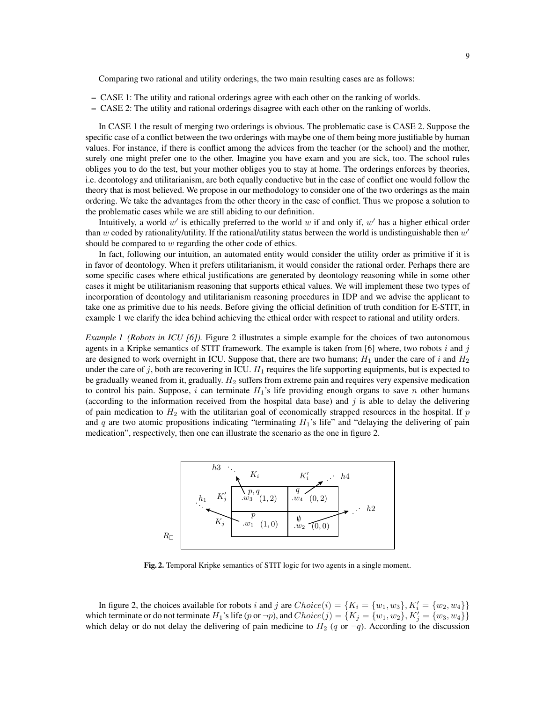Comparing two rational and utility orderings, the two main resulting cases are as follows:

- CASE 1: The utility and rational orderings agree with each other on the ranking of worlds.
- CASE 2: The utility and rational orderings disagree with each other on the ranking of worlds.

In CASE 1 the result of merging two orderings is obvious. The problematic case is CASE 2. Suppose the specific case of a conflict between the two orderings with maybe one of them being more justifiable by human values. For instance, if there is conflict among the advices from the teacher (or the school) and the mother, surely one might prefer one to the other. Imagine you have exam and you are sick, too. The school rules obliges you to do the test, but your mother obliges you to stay at home. The orderings enforces by theories, i.e. deontology and utilitarianism, are both equally conductive but in the case of conflict one would follow the theory that is most believed. We propose in our methodology to consider one of the two orderings as the main ordering. We take the advantages from the other theory in the case of conflict. Thus we propose a solution to the problematic cases while we are still abiding to our definition.

Intuitively, a world w' is ethically preferred to the world w if and only if, w' has a higher ethical order than w coded by rationality/utility. If the rational/utility status between the world is undistinguishable then  $w'$ should be compared to  $w$  regarding the other code of ethics.

In fact, following our intuition, an automated entity would consider the utility order as primitive if it is in favor of deontology. When it prefers utilitarianism, it would consider the rational order. Perhaps there are some specific cases where ethical justifications are generated by deontology reasoning while in some other cases it might be utilitarianism reasoning that supports ethical values. We will implement these two types of incorporation of deontology and utilitarianism reasoning procedures in IDP and we advise the applicant to take one as primitive due to his needs. Before giving the official definition of truth condition for E-STIT, in example 1 we clarify the idea behind achieving the ethical order with respect to rational and utility orders.

*Example 1 (Robots in ICU [6]).* Figure 2 illustrates a simple example for the choices of two autonomous agents in a Kripke semantics of STIT framework. The example is taken from [6] where, two robots i and j are designed to work overnight in ICU. Suppose that, there are two humans;  $H_1$  under the care of i and  $H_2$ under the care of  $j$ , both are recovering in ICU.  $H_1$  requires the life supporting equipments, but is expected to be gradually weaned from it, gradually.  $H_2$  suffers from extreme pain and requires very expensive medication to control his pain. Suppose, i can terminate  $H_1$ 's life providing enough organs to save n other humans (according to the information received from the hospital data base) and  $j$  is able to delay the delivering of pain medication to  $H_2$  with the utilitarian goal of economically strapped resources in the hospital. If p and q are two atomic propositions indicating "terminating  $H_1$ 's life" and "delaying the delivering of pain medication", respectively, then one can illustrate the scenario as the one in figure 2.



Fig. 2. Temporal Kripke semantics of STIT logic for two agents in a single moment.

In figure 2, the choices available for robots i and j are  $Choice(i) = \{K_i = \{w_1, w_3\}, K'_i = \{w_2, w_4\}\}\$ which terminate or do not terminate  $H_1$ 's life (p or  $\neg p$ ), and  $Choice(j) = \{K_j = \{w_1, w_2\}, K'_j = \{w_3, w_4\}\}\$ which delay or do not delay the delivering of pain medicine to  $H_2$  (q or  $\neg q$ ). According to the discussion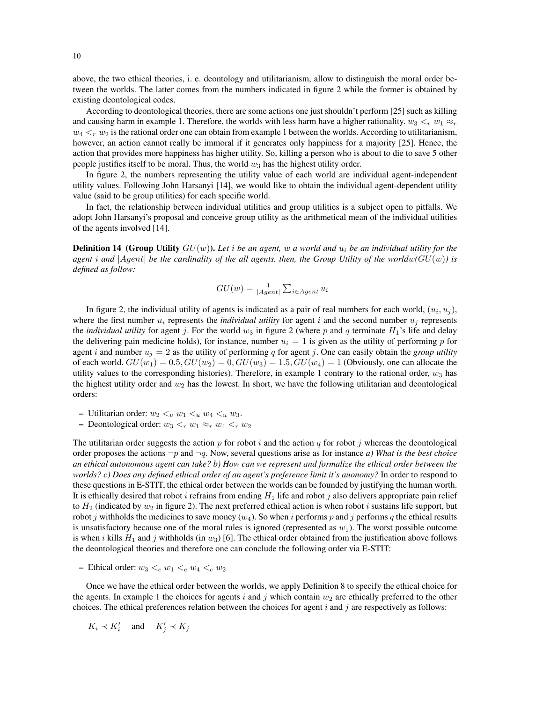above, the two ethical theories, i. e. deontology and utilitarianism, allow to distinguish the moral order between the worlds. The latter comes from the numbers indicated in figure 2 while the former is obtained by existing deontological codes.

According to deontological theories, there are some actions one just shouldn't perform [25] such as killing and causing harm in example 1. Therefore, the worlds with less harm have a higher rationality.  $w_3 <_r w_1 \approx_r w_2$  $w_4 <_r w_2$  is the rational order one can obtain from example 1 between the worlds. According to utilitarianism, however, an action cannot really be immoral if it generates only happiness for a majority [25]. Hence, the action that provides more happiness has higher utility. So, killing a person who is about to die to save 5 other people justifies itself to be moral. Thus, the world  $w_3$  has the highest utility order.

In figure 2, the numbers representing the utility value of each world are individual agent-independent utility values. Following John Harsanyi [14], we would like to obtain the individual agent-dependent utility value (said to be group utilities) for each specific world.

In fact, the relationship between individual utilities and group utilities is a subject open to pitfalls. We adopt John Harsanyi's proposal and conceive group utility as the arithmetical mean of the individual utilities of the agents involved [14].

**Definition 14 (Group Utility**  $GU(w)$ ). Let i be an agent, w a world and  $u_i$  be an individual utility for the *agent i* and  $|Agent|$  *be the cardinality of the all agents. then, the Group Utility of the worldw* $(GU(w))$  *is defined as follow:*

$$
GU(w) = \frac{1}{|Agent|} \sum_{i \in Agent} u_i
$$

In figure 2, the individual utility of agents is indicated as a pair of real numbers for each world,  $(u_i, u_j)$ , where the first number  $u_i$  represents the *individual utility* for agent i and the second number  $u_j$  represents the *individual utility* for agent j. For the world  $w_3$  in figure 2 (where p and q terminate  $H_1$ 's life and delay the delivering pain medicine holds), for instance, number  $u_i = 1$  is given as the utility of performing p for agent i and number  $u_j = 2$  as the utility of performing q for agent j. One can easily obtain the *group utility* of each world.  $GU(w_1) = 0.5, GU(w_2) = 0, GU(w_3) = 1.5, GU(w_4) = 1$  (Obviously, one can allocate the utility values to the corresponding histories). Therefore, in example 1 contrary to the rational order,  $w_3$  has the highest utility order and  $w_2$  has the lowest. In short, we have the following utilitarian and deontological orders:

- Utilitarian order:  $w_2 < u_1 < u_2 < u_3$ .
- Deontological order:  $w_3 <_r w_1 \approx_r w_4 <_r w_2$

The utilitarian order suggests the action p for robot i and the action q for robot j whereas the deontological order proposes the actions ¬p and ¬q. Now, several questions arise as for instance *a) What is the best choice an ethical autonomous agent can take? b) How can we represent and formalize the ethical order between the worlds? c) Does any defined ethical order of an agent's preference limit it's auonomy?* In order to respond to these questions in E-STIT, the ethical order between the worlds can be founded by justifying the human worth. It is ethically desired that robot i refrains from ending  $H_1$  life and robot j also delivers appropriate pain relief to  $H_2$  (indicated by  $w_2$  in figure 2). The next preferred ethical action is when robot i sustains life support, but robot j withholds the medicines to save money  $(w_4)$ . So when i performs p and j performs q the ethical results is unsatisfactory because one of the moral rules is ignored (represented as  $w_1$ ). The worst possible outcome is when i kills  $H_1$  and j withholds (in  $w_3$ ) [6]. The ethical order obtained from the justification above follows the deontological theories and therefore one can conclude the following order via E-STIT:

– Ethical order:  $w_3 <_e w_1 <_e w_4 <_e w_2$ 

Once we have the ethical order between the worlds, we apply Definition 8 to specify the ethical choice for the agents. In example 1 the choices for agents i and j which contain  $w_2$  are ethically preferred to the other choices. The ethical preferences relation between the choices for agent  $i$  and  $j$  are respectively as follows:

$$
K_i \prec K'_i \quad \text{and} \quad K'_j \prec K_j
$$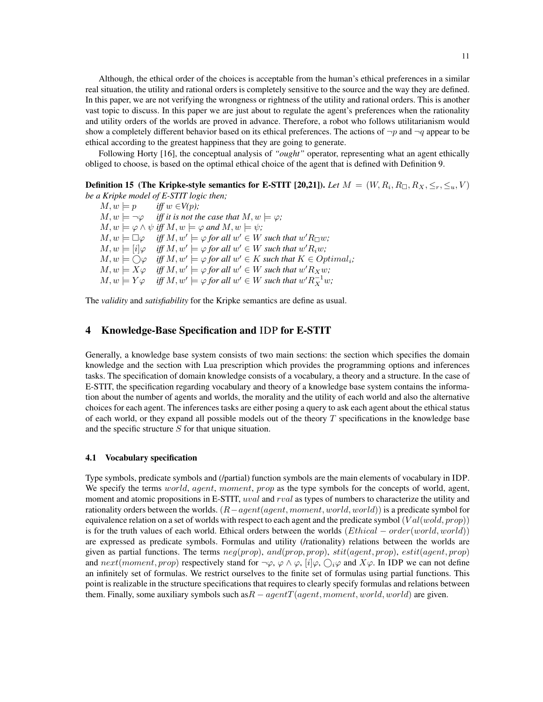Although, the ethical order of the choices is acceptable from the human's ethical preferences in a similar real situation, the utility and rational orders is completely sensitive to the source and the way they are defined. In this paper, we are not verifying the wrongness or rightness of the utility and rational orders. This is another vast topic to discuss. In this paper we are just about to regulate the agent's preferences when the rationality and utility orders of the worlds are proved in advance. Therefore, a robot who follows utilitarianism would show a completely different behavior based on its ethical preferences. The actions of  $\neg p$  and  $\neg q$  appear to be ethical according to the greatest happiness that they are going to generate.

Following Horty [16], the conceptual analysis of *"ought"* operator, representing what an agent ethically obliged to choose, is based on the optimal ethical choice of the agent that is defined with Definition 9.

Definition 15 (The Kripke-style semantics for E-STIT [20,21]). Let  $M = (W, R_i, R_\square, R_X, \leq_r, \leq_u, V)$ *be a Kripke model of E-STIT logic then;*

 $M, w \models p$  *iff*  $w \in V(p)$ ;  $M, w \models \neg \varphi$  *iff it is not the case that*  $M, w \models \varphi$ *;*  $M, w \models \varphi \land \psi$  *iff*  $M, w \models \varphi$  *and*  $M, w \models \psi$ *;*  $M, w \models \Box \varphi$  *iff*  $M, w' \models \varphi$  for all  $w' \in W$  such that  $w'R \Box w$ ;  $M, w \models [i]\varphi \quad \textit{iff } M, w' \models \varphi \textit{for all } w' \in W \textit{ such that } w'R_iw;$  $M, w \models \bigcirc \varphi \text{ iff } M, w' \models \varphi \text{ for all } w' \in K \text{ such that } K \in Optimal_i;$  $M, w \models X\varphi \quad \textit{iff } M, w' \models \varphi \textit{for all } w' \in W \textit{ such that } w'R_Xw;$  $M, w \models Y \varphi \quad \textit{iff } M, w' \models \varphi \textit{for all } w' \in W \textit{ such that } w' R_X^{-1} w;$ 

The *validity* and *satisfiability* for the Kripke semantics are define as usual.

## 4 Knowledge-Base Specification and IDP for E-STIT

Generally, a knowledge base system consists of two main sections: the section which specifies the domain knowledge and the section with Lua prescription which provides the programming options and inferences tasks. The specification of domain knowledge consists of a vocabulary, a theory and a structure. In the case of E-STIT, the specification regarding vocabulary and theory of a knowledge base system contains the information about the number of agents and worlds, the morality and the utility of each world and also the alternative choices for each agent. The inferences tasks are either posing a query to ask each agent about the ethical status of each world, or they expand all possible models out of the theory  $T$  specifications in the knowledge base and the specific structure  $S$  for that unique situation.

#### 4.1 Vocabulary specification

Type symbols, predicate symbols and (/partial) function symbols are the main elements of vocabulary in IDP. We specify the terms *world, agent, moment, prop* as the type symbols for the concepts of world, agent, moment and atomic propositions in E-STIT, *uval* and rval as types of numbers to characterize the utility and rationality orders between the worlds.  $(R-aqent(aqent, moment, world, world))$  is a predicate symbol for equivalence relation on a set of worlds with respect to each agent and the predicate symbol  $(Val(wold, prop))$ is for the truth values of each world. Ethical orders between the worlds  $(Ethical-order(word, world))$ are expressed as predicate symbols. Formulas and utility (/rationality) relations between the worlds are given as partial functions. The terms  $neq(prop)$ ,  $and(prop, prop)$ ,  $stit(agent, prop)$ ,  $estit(agent, prop)$ and  $next(moment, prop)$  respectively stand for  $\neg \varphi$ ,  $\varphi \wedge \varphi$ ,  $[i] \varphi$ ,  $\bigcirc_i \varphi$  and  $X \varphi$ . In IDP we can not define an infinitely set of formulas. We restrict ourselves to the finite set of formulas using partial functions. This point is realizable in the structure specifications that requires to clearly specify formulas and relations between them. Finally, some auxiliary symbols such as  $R - agentT(agent, moment, world, world)$  are given.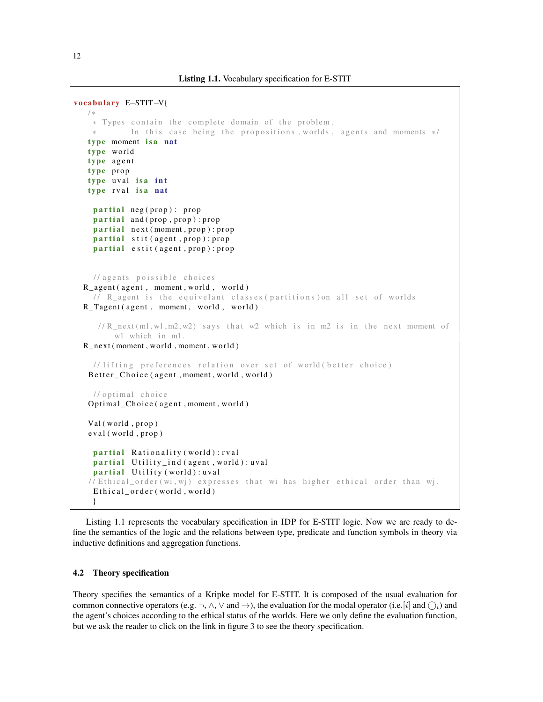```
vocabulary E-STIT-V{
   / ∗
   * Types contain the complete domain of the problem.
            In this case being the propositions, worlds, agents and moments */
   type moment is a nat
   type world
   type agent
   type prop
   type uval isa int
   type rval isa nat
    partial neg (prop): prop
    partial and (prop, prop): prop
    partial next (moment, prop): prop
    partial stit (agent, prop): prop
    partial estit (agent, prop): prop
    // agents poissible choices
  R<sup>_agent (agent, moment, world, world)</sup>
    // R_agent is the equivelant classes (partitions) on all set of worlds
  R_Tagent ( agent, moment, world, world)
     // R_new(m1, w1, m2, w2) says that w2 which is in m2 is in the next moment of
         w1 which in m1.
  R_next (moment, world, moment, world)
    // lifting preferences relation over set of world (better choice)
   Better_Choice (agent, moment, world, world)
    // optimal choice
   Optimal_Choice (agent, moment, world)
   Val(world, prop)e v al (world, prop)
    partial Rationality (world): rval
    partial Utility_ind (agent, world): uval
    partial Utility (world): uval
   // Ethical_order (wi, wj) expresses that wi has higher ethical order than wj.
    Ethical_order (world, world)
    }
```
Listing 1.1 represents the vocabulary specification in IDP for E-STIT logic. Now we are ready to define the semantics of the logic and the relations between type, predicate and function symbols in theory via inductive definitions and aggregation functions.

#### 4.2 Theory specification

Theory specifies the semantics of a Kripke model for E-STIT. It is composed of the usual evaluation for common connective operators (e.g.  $\neg$ ,  $\wedge$ ,  $\vee$  and  $\rightarrow$ ), the evaluation for the modal operator (i.e. [i] and  $\bigcirc$  i) and the agent's choices according to the ethical status of the worlds. Here we only define the evaluation function, but we ask the reader to click on the link in figure 3 to see the theory specification.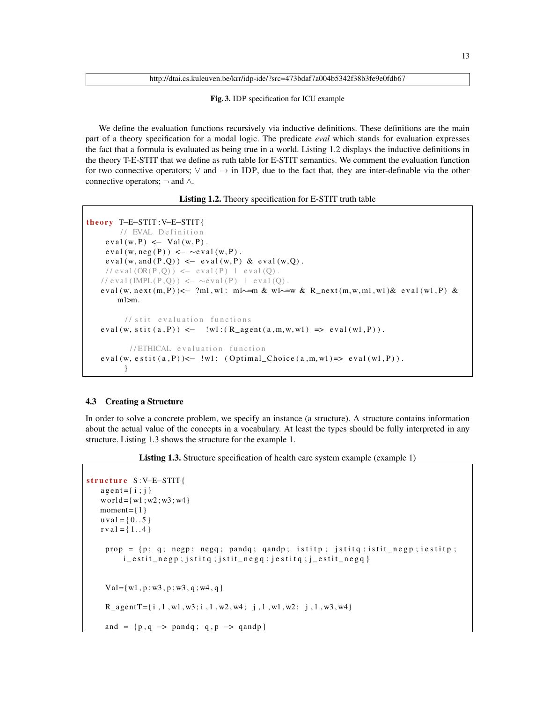#### http://dtai.cs.kuleuven.be/krr/idp-ide/?src=473bdaf7a004b5342f38b3fe9e0fdb67

Fig. 3. IDP specification for ICU example

We define the evaluation functions recursively via inductive definitions. These definitions are the main part of a theory specification for a modal logic. The predicate *eval* which stands for evaluation expresses the fact that a formula is evaluated as being true in a world. Listing 1.2 displays the inductive definitions in the theory T-E-STIT that we define as ruth table for E-STIT semantics. We comment the evaluation function for two connective operators;  $\vee$  and  $\rightarrow$  in IDP, due to the fact that, they are inter-definable via the other connective operators;  $\neg$  and  $\wedge$ .

#### Listing 1.2. Theory specification for E-STIT truth table

```
theory T–E–STIT: V–E–STIT{
         // EVAL Definition
     eval(w, P) \leftarrow Val(w, P).
     eval(w, neg(P)) \leftarrow \neg eval(w, P).
     eval(w, and(P,Q)) \leftarrow eval(w, P) \& eval(w, Q).
     // eval (OR(P,Q)) \leftarrow eval(P) | eval (Q).
    // eval (\text{IMPL}(P, Q)) \leftarrow \text{eval}(P) | eval (Q).
    e v al (w, \text{next}(m, P)) \leq -2m, w!: m\sim = m & w\sim = w & R_next (m, w, m], w \leq w al (w1, P) &
         m1>m.
           // stit evaluation functions
    eval(w,stit(a, P)) \leftarrow \text{!w1}: (R \text{.agent}(a, m, w, w1) \implies eval(w1, P)).
            // ETHICAL evaluation function
    e v a l (w, e \text{stit}(a, P)) < - ! w 1: (Optimal_Choice (a, m, w1) = > e v a l (w1, P)).
          }
```
#### 4.3 Creating a Structure

In order to solve a concrete problem, we specify an instance (a structure). A structure contains information about the actual value of the concepts in a vocabulary. At least the types should be fully interpreted in any structure. Listing 1.3 shows the structure for the example 1.

Listing 1.3. Structure specification of health care system example (example 1)

```
structure S:V-E-STIT{
    agent = \{ i ; j \}w orld = {w1 ; w2 ; w3 ; w4 }
   moment = \{1\}u v al = { 0..5 }
    r v a l = \{ 1..4 \}prop = \{p; q; negp; negq; pandq; gandp; is tiltp; is tilt\_negp; isstitp;i_estit_negp; jstitq; jstit_negq; jestitq; j_estit_negq }
     Val = \{w1, p; w3, p; w3, q; w4, q\}R\_{agent} = \{ i, 1, w1, w3; i, 1, w2, w4; j, 1, w1, w2; j, 1, w3, w4 \}and = \{p, q \rightarrow pandq; q, p \rightarrow qandp}
```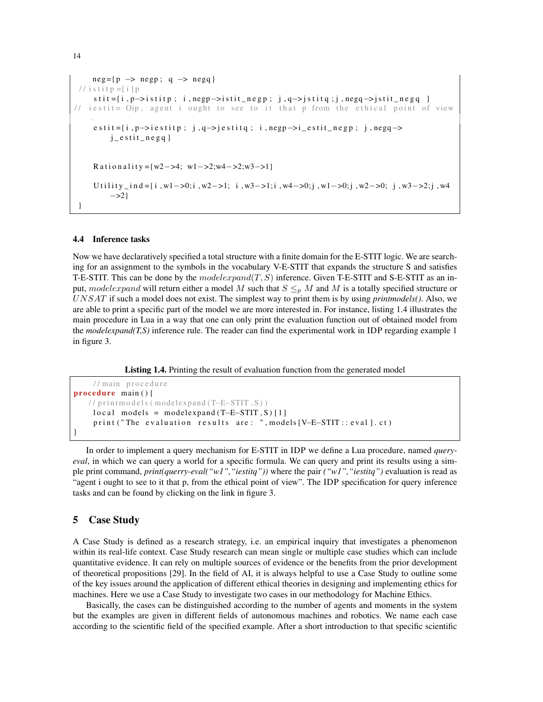```
neg = {p \rightarrow negp; q \rightarrow negq}// is \frac{1}{1} i \frac{1}{1} p
    stit={i,p->istitp; i,negp->istit_negp; j,q->jstitq;j,negq->jstit_negq }
// iestit= Oip, agent i ought to see to it that p from the ethical point of view
    .
    \text{estit} = \{i, p \rightarrow i \text{estit} \}; j,q->jestitq; i,negp->i_estit_negp; j,negq->
         j estit negg }
    Rationality = \{w2 - >4; w1 - >2; w4 - >2; w3 - >1\}U tility_ind={i,w1->0;i,w2->1; i,w3->1;i,w4->0;j,w1->0;j,w2->0; j,w3->2;j,w4
         −>2}
 }
```
#### 4.4 Inference tasks

Now we have declaratively specified a total structure with a finite domain for the E-STIT logic. We are searching for an assignment to the symbols in the vocabulary V-E-STIT that expands the structure S and satisfies T-E-STIT. This can be done by the  $modelexpand(T, S)$  inference. Given T-E-STIT and S-E-STIT as an input, modelexpand will return either a model M such that  $S \leq_{p} M$  and M is a totally specified structure or UNSAT if such a model does not exist. The simplest way to print them is by using *printmodels()*. Also, we are able to print a specific part of the model we are more interested in. For instance, listing 1.4 illustrates the main procedure in Lua in a way that one can only print the evaluation function out of obtained model from the *modelexpand(T,S)* inference rule. The reader can find the experimental work in IDP regarding example 1 in figure 3.

Listing 1.4. Printing the result of evaluation function from the generated model

```
// main procedure
procedure main () {
   // printmodels (modelexpand (T-E-STIT, S))
    local models = modelexpand(T-E-STIT, S) [1]print ("The evaluation results are: ", models [V-E-STIT :: eval]. ct)
}
```
In order to implement a query mechanism for E-STIT in IDP we define a Lua procedure, named *queryeval*, in which we can query a world for a specific formula. We can query and print its results using a simple print command, *print(querry-eval("w1","iestitq"))* where the pair *("w1","iestitq")* evaluation is read as "agent i ought to see to it that p, from the ethical point of view". The IDP specification for query inference tasks and can be found by clicking on the link in figure 3.

## 5 Case Study

A Case Study is defined as a research strategy, i.e. an empirical inquiry that investigates a phenomenon within its real-life context. Case Study research can mean single or multiple case studies which can include quantitative evidence. It can rely on multiple sources of evidence or the benefits from the prior development of theoretical propositions [29]. In the field of AI, it is always helpful to use a Case Study to outline some of the key issues around the application of different ethical theories in designing and implementing ethics for machines. Here we use a Case Study to investigate two cases in our methodology for Machine Ethics.

Basically, the cases can be distinguished according to the number of agents and moments in the system but the examples are given in different fields of autonomous machines and robotics. We name each case according to the scientific field of the specified example. After a short introduction to that specific scientific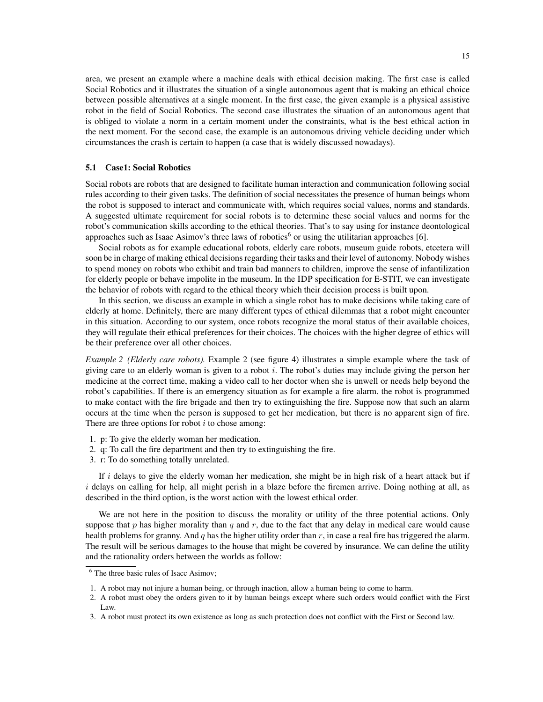area, we present an example where a machine deals with ethical decision making. The first case is called Social Robotics and it illustrates the situation of a single autonomous agent that is making an ethical choice between possible alternatives at a single moment. In the first case, the given example is a physical assistive robot in the field of Social Robotics. The second case illustrates the situation of an autonomous agent that is obliged to violate a norm in a certain moment under the constraints, what is the best ethical action in the next moment. For the second case, the example is an autonomous driving vehicle deciding under which circumstances the crash is certain to happen (a case that is widely discussed nowadays).

#### 5.1 Case1: Social Robotics

Social robots are robots that are designed to facilitate human interaction and communication following social rules according to their given tasks. The definition of social necessitates the presence of human beings whom the robot is supposed to interact and communicate with, which requires social values, norms and standards. A suggested ultimate requirement for social robots is to determine these social values and norms for the robot's communication skills according to the ethical theories. That's to say using for instance deontological approaches such as Isaac Asimov's three laws of robotics<sup>6</sup> or using the utilitarian approaches [6].

Social robots as for example educational robots, elderly care robots, museum guide robots, etcetera will soon be in charge of making ethical decisions regarding their tasks and their level of autonomy. Nobody wishes to spend money on robots who exhibit and train bad manners to children, improve the sense of infantilization for elderly people or behave impolite in the museum. In the IDP specification for E-STIT, we can investigate the behavior of robots with regard to the ethical theory which their decision process is built upon.

In this section, we discuss an example in which a single robot has to make decisions while taking care of elderly at home. Definitely, there are many different types of ethical dilemmas that a robot might encounter in this situation. According to our system, once robots recognize the moral status of their available choices, they will regulate their ethical preferences for their choices. The choices with the higher degree of ethics will be their preference over all other choices.

*Example 2 (Elderly care robots).* Example 2 (see figure 4) illustrates a simple example where the task of giving care to an elderly woman is given to a robot  $i$ . The robot's duties may include giving the person her medicine at the correct time, making a video call to her doctor when she is unwell or needs help beyond the robot's capabilities. If there is an emergency situation as for example a fire alarm. the robot is programmed to make contact with the fire brigade and then try to extinguishing the fire. Suppose now that such an alarm occurs at the time when the person is supposed to get her medication, but there is no apparent sign of fire. There are three options for robot  $i$  to chose among:

- 1. p: To give the elderly woman her medication.
- 2. q: To call the fire department and then try to extinguishing the fire.
- 3. r: To do something totally unrelated.

If  $i$  delays to give the elderly woman her medication, she might be in high risk of a heart attack but if i delays on calling for help, all might perish in a blaze before the firemen arrive. Doing nothing at all, as described in the third option, is the worst action with the lowest ethical order.

We are not here in the position to discuss the morality or utility of the three potential actions. Only suppose that p has higher morality than q and r, due to the fact that any delay in medical care would cause health problems for granny. And q has the higher utility order than  $r$ , in case a real fire has triggered the alarm. The result will be serious damages to the house that might be covered by insurance. We can define the utility and the rationality orders between the worlds as follow:

<sup>&</sup>lt;sup>6</sup> The three basic rules of Isacc Asimov;

<sup>1.</sup> A robot may not injure a human being, or through inaction, allow a human being to come to harm.

<sup>2.</sup> A robot must obey the orders given to it by human beings except where such orders would conflict with the First Law.

<sup>3.</sup> A robot must protect its own existence as long as such protection does not conflict with the First or Second law.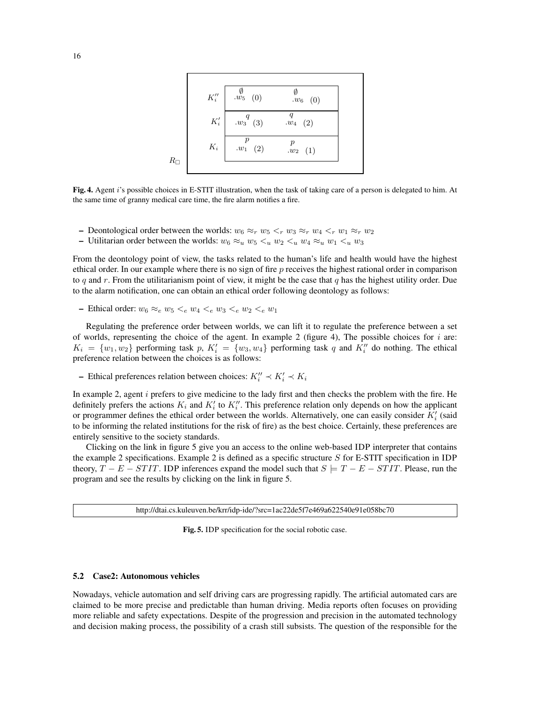

Fig. 4. Agent i's possible choices in E-STIT illustration, when the task of taking care of a person is delegated to him. At the same time of granny medical care time, the fire alarm notifies a fire.

- Deontological order between the worlds:  $w_6 \approx_r w_5 \leq_r w_3 \approx_r w_4 \leq_r w_1 \approx_r w_2$
- Utilitarian order between the worlds:  $w_6 \approx_u w_5 \lt_u w_2 \lt_u w_4 \approx_u w_1 \lt_u w_3$

From the deontology point of view, the tasks related to the human's life and health would have the highest ethical order. In our example where there is no sign of fire  $p$  receives the highest rational order in comparison to q and r. From the utilitarianism point of view, it might be the case that q has the highest utility order. Due to the alarm notification, one can obtain an ethical order following deontology as follows:

– Ethical order:  $w_6 \approx_e w_5 <_e w_4 <_e w_3 <_e w_2 <_e w_1$ 

Regulating the preference order between worlds, we can lift it to regulate the preference between a set of worlds, representing the choice of the agent. In example 2 (figure 4), The possible choices for  $i$  are:  $K_i = \{w_1, w_2\}$  performing task p,  $K'_i = \{w_3, w_4\}$  performing task q and  $K''_i$  do nothing. The ethical preference relation between the choices is as follows:

− Ethical preferences relation between choices:  $K_i'' \prec K_i' \prec K_i$ 

In example 2, agent  $i$  prefers to give medicine to the lady first and then checks the problem with the fire. He definitely prefers the actions  $K_i$  and  $K'_i$  to  $K''_i$ . This preference relation only depends on how the applicant or programmer defines the ethical order between the worlds. Alternatively, one can easily consider  $K_i'$  (said to be informing the related institutions for the risk of fire) as the best choice. Certainly, these preferences are entirely sensitive to the society standards.

Clicking on the link in figure 5 give you an access to the online web-based IDP interpreter that contains the example 2 specifications. Example 2 is defined as a specific structure S for E-STIT specification in IDP theory,  $T - E - STIT$ . IDP inferences expand the model such that  $S = T - E - STIT$ . Please, run the program and see the results by clicking on the link in figure 5.

http://dtai.cs.kuleuven.be/krr/idp-ide/?src=1ac22de5f7e469a622540e91e058bc70

Fig. 5. IDP specification for the social robotic case.

#### 5.2 Case2: Autonomous vehicles

Nowadays, vehicle automation and self driving cars are progressing rapidly. The artificial automated cars are claimed to be more precise and predictable than human driving. Media reports often focuses on providing more reliable and safety expectations. Despite of the progression and precision in the automated technology and decision making process, the possibility of a crash still subsists. The question of the responsible for the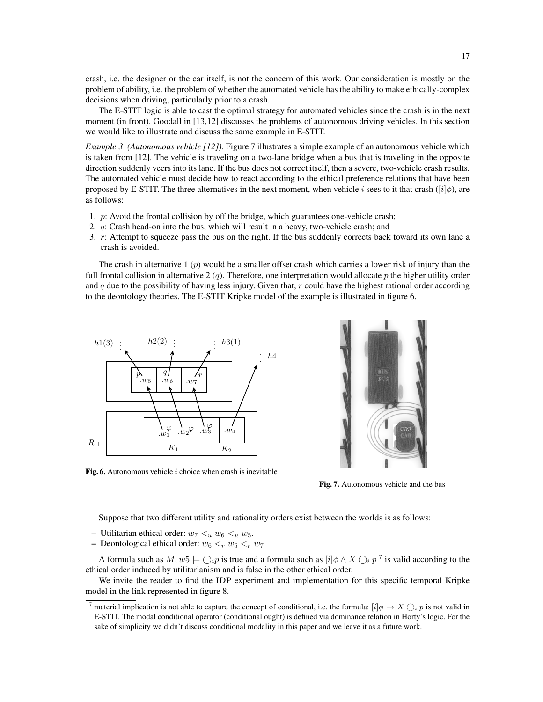crash, i.e. the designer or the car itself, is not the concern of this work. Our consideration is mostly on the problem of ability, i.e. the problem of whether the automated vehicle has the ability to make ethically-complex decisions when driving, particularly prior to a crash.

The E-STIT logic is able to cast the optimal strategy for automated vehicles since the crash is in the next moment (in front). Goodall in [13,12] discusses the problems of autonomous driving vehicles. In this section we would like to illustrate and discuss the same example in E-STIT.

*Example 3 (Autonomous vehicle [12]).* Figure 7 illustrates a simple example of an autonomous vehicle which is taken from [12]. The vehicle is traveling on a two-lane bridge when a bus that is traveling in the opposite direction suddenly veers into its lane. If the bus does not correct itself, then a severe, two-vehicle crash results. The automated vehicle must decide how to react according to the ethical preference relations that have been proposed by E-STIT. The three alternatives in the next moment, when vehicle i sees to it that crash ([i] $\phi$ ), are as follows:

- 1. p: Avoid the frontal collision by off the bridge, which guarantees one-vehicle crash;
- 2. q: Crash head-on into the bus, which will result in a heavy, two-vehicle crash; and
- 3. r: Attempt to squeeze pass the bus on the right. If the bus suddenly corrects back toward its own lane a crash is avoided.

The crash in alternative 1  $(p)$  would be a smaller offset crash which carries a lower risk of injury than the full frontal collision in alternative 2  $(q)$ . Therefore, one interpretation would allocate p the higher utility order and  $q$  due to the possibility of having less injury. Given that,  $r$  could have the highest rational order according to the deontology theories. The E-STIT Kripke model of the example is illustrated in figure 6.



Fig. 6. Autonomous vehicle  $i$  choice when crash is inevitable



Fig. 7. Autonomous vehicle and the bus

Suppose that two different utility and rationality orders exist between the worlds is as follows:

- Utilitarian ethical order:  $w_7 \leq u_8 \leq u_9$ .
- Deontological ethical order:  $w_6 <_r w_5 <_r w_7$

A formula such as  $M, w5 \models \bigcirc_i p$  is true and a formula such as  $[i] \phi \wedge X \bigcirc_i p^7$  is valid according to the ethical order induced by utilitarianism and is false in the other ethical order.

We invite the reader to find the IDP experiment and implementation for this specific temporal Kripke model in the link represented in figure 8.

<sup>&</sup>lt;sup>7</sup> material implication is not able to capture the concept of conditional, i.e. the formula:  $[i] \phi \to X \bigcirc_i p$  is not valid in E-STIT. The modal conditional operator (conditional ought) is defined via dominance relation in Horty's logic. For the sake of simplicity we didn't discuss conditional modality in this paper and we leave it as a future work.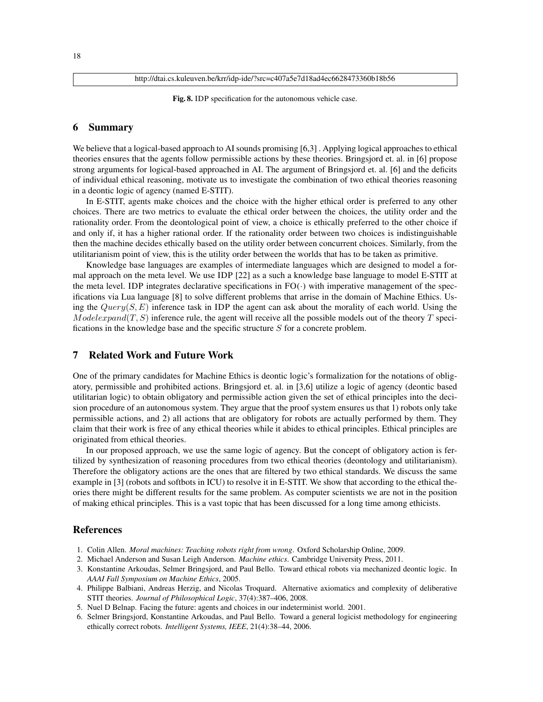Fig. 8. IDP specification for the autonomous vehicle case.

## 6 Summary

We believe that a logical-based approach to AI sounds promising [6,3]. Applying logical approaches to ethical theories ensures that the agents follow permissible actions by these theories. Bringsjord et. al. in [6] propose strong arguments for logical-based approached in AI. The argument of Bringsjord et. al. [6] and the deficits of individual ethical reasoning, motivate us to investigate the combination of two ethical theories reasoning in a deontic logic of agency (named E-STIT).

In E-STIT, agents make choices and the choice with the higher ethical order is preferred to any other choices. There are two metrics to evaluate the ethical order between the choices, the utility order and the rationality order. From the deontological point of view, a choice is ethically preferred to the other choice if and only if, it has a higher rational order. If the rationality order between two choices is indistinguishable then the machine decides ethically based on the utility order between concurrent choices. Similarly, from the utilitarianism point of view, this is the utility order between the worlds that has to be taken as primitive.

Knowledge base languages are examples of intermediate languages which are designed to model a formal approach on the meta level. We use IDP [22] as a such a knowledge base language to model E-STIT at the meta level. IDP integrates declarative specifications in  $FO(\cdot)$  with imperative management of the specifications via Lua language [8] to solve different problems that arrise in the domain of Machine Ethics. Using the  $Query(S, E)$  inference task in IDP the agent can ask about the morality of each world. Using the  $Modelexpand(T, S)$  inference rule, the agent will receive all the possible models out of the theory T specifications in the knowledge base and the specific structure S for a concrete problem.

## 7 Related Work and Future Work

One of the primary candidates for Machine Ethics is deontic logic's formalization for the notations of obligatory, permissible and prohibited actions. Bringsjord et. al. in [3,6] utilize a logic of agency (deontic based utilitarian logic) to obtain obligatory and permissible action given the set of ethical principles into the decision procedure of an autonomous system. They argue that the proof system ensures us that 1) robots only take permissible actions, and 2) all actions that are obligatory for robots are actually performed by them. They claim that their work is free of any ethical theories while it abides to ethical principles. Ethical principles are originated from ethical theories.

In our proposed approach, we use the same logic of agency. But the concept of obligatory action is fertilized by synthesization of reasoning procedures from two ethical theories (deontology and utilitarianism). Therefore the obligatory actions are the ones that are filtered by two ethical standards. We discuss the same example in [3] (robots and softbots in ICU) to resolve it in E-STIT. We show that according to the ethical theories there might be different results for the same problem. As computer scientists we are not in the position of making ethical principles. This is a vast topic that has been discussed for a long time among ethicists.

### References

- 1. Colin Allen. *Moral machines: Teaching robots right from wrong*. Oxford Scholarship Online, 2009.
- 2. Michael Anderson and Susan Leigh Anderson. *Machine ethics*. Cambridge University Press, 2011.
- 3. Konstantine Arkoudas, Selmer Bringsjord, and Paul Bello. Toward ethical robots via mechanized deontic logic. In *AAAI Fall Symposium on Machine Ethics*, 2005.
- 4. Philippe Balbiani, Andreas Herzig, and Nicolas Troquard. Alternative axiomatics and complexity of deliberative STIT theories. *Journal of Philosophical Logic*, 37(4):387–406, 2008.
- 5. Nuel D Belnap. Facing the future: agents and choices in our indeterminist world. 2001.
- 6. Selmer Bringsjord, Konstantine Arkoudas, and Paul Bello. Toward a general logicist methodology for engineering ethically correct robots. *Intelligent Systems, IEEE*, 21(4):38–44, 2006.